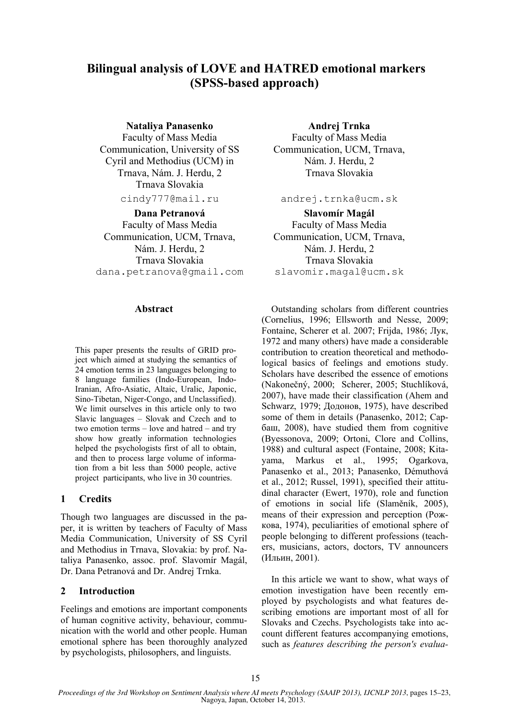# **Bilingual analysis of LOVE and HATRED emotional markers (SPSS-based approach)**

**Nataliya Panasenko** 

Faculty of Mass Media Communication, University of SS Cyril and Methodius (UCM) in Trnava, Nám. J. Herdu, 2 Trnava Slovakia

cindy777@mail.ru

**Dana Petranová**  Faculty of Mass Media Communication, UCM, Trnava, Nám. J. Herdu, 2 Trnava Slovakia dana.petranova@gmail.com

# **Abstract**

This paper presents the results of GRID project which aimed at studying the semantics of 24 emotion terms in 23 languages belonging to 8 language families (Indo-European, Indo-Iranian, Afro-Asiatic, Altaic, Uralic, Japonic, Sino-Tibetan, Niger-Congo, and Unclassified). We limit ourselves in this article only to two Slavic languages – Slovak and Czech and to two emotion terms – love and hatred – and try show how greatly information technologies helped the psychologists first of all to obtain, and then to process large volume of information from a bit less than 5000 people, active project participants, who live in 30 countries.

# **1 Credits**

Though two languages are discussed in the paper, it is written by teachers of Faculty of Mass Media Communication, University of SS Cyril and Methodius in Trnava, Slovakia: by prof. Nataliya Panasenko, assoc. prof. Slavomír Magál, Dr. Dana Petranová and Dr. Andrej Trnka.

# **2 Introduction**

Feelings and emotions are important components of human cognitive activity, behaviour, communication with the world and other people. Human emotional sphere has been thoroughly analyzed by psychologists, philosophers, and linguists.

**Andrej Trnka**  Faculty of Mass Media Communication, UCM, Trnava, Nám. J. Herdu, 2 Trnava Slovakia

andrej.trnka@ucm.sk

**Slavomír Magál**  Faculty of Mass Media Communication, UCM, Trnava, Nám. J. Herdu, 2 Trnava Slovakia slavomir.magal@ucm.sk

Outstanding scholars from different countries (Cornelius, 1996; Ellsworth and Nesse, 2009; Fontaine, Scherer et al. 2007; Frijda, 1986; Лук, 1972 and many others) have made a considerable contribution to creation theoretical and methodological basics of feelings and emotions study. Scholars have described the essence of emotions (Nakonečný, 2000; Scherer, 2005; Stuchlíková, 2007), have made their classification (Ahem and Schwarz, 1979; Додонов, 1975), have described some of them in details (Panasenko, 2012; Сарбаш, 2008), have studied them from cognitive (Byessonova, 2009; Оrtoni, Clore and Collins, 1988) and cultural aspect (Fontaine, 2008; Kitayama, Markus et al., 1995; Ogarkova, Panasenko et al., 2013; Panasenko, Démuthová et al., 2012; Russel, 1991), specified their attitudinal character (Ewert, 1970), role and function of emotions in social life (Slaměník, 2005), means of their expression and perception (Рожкова, 1974), peculiarities of emotional sphere of people belonging to different professions (teachers, musicians, actors, doctors, TV announcers (Ильин, 2001).

In this article we want to show, what ways of emotion investigation have been recently employed by psychologists and what features describing emotions are important most of all for Slovaks and Czechs. Psychologists take into account different features accompanying emotions, such as *features describing the person's evalua-*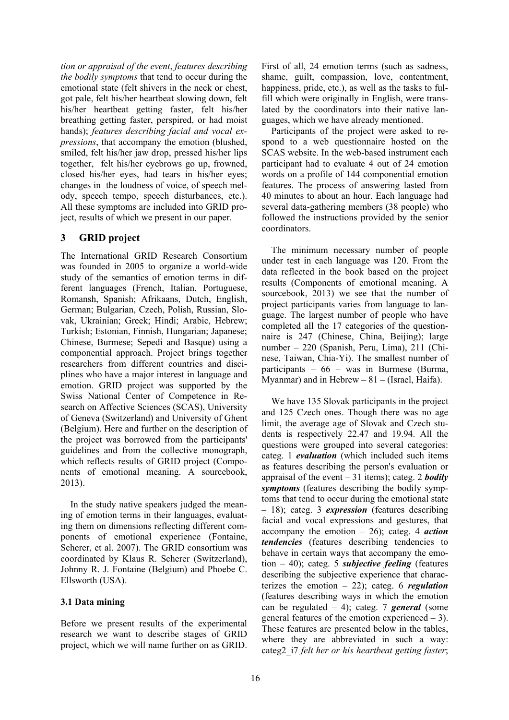*tion or appraisal of the event*, *features describing the bodily symptoms* that tend to occur during the emotional state (felt shivers in the neck or chest, got pale, felt his/her heartbeat slowing down, felt his/her heartbeat getting faster, felt his/her breathing getting faster, perspired, or had moist hands); *features describing facial and vocal expressions*, that accompany the emotion (blushed, smiled, felt his/her jaw drop, pressed his/her lips together, felt his/her eyebrows go up, frowned, closed his/her eyes, had tears in his/her eyes; changes in the loudness of voice, of speech melody, speech tempo, speech disturbances, etc.). All these symptoms are included into GRID project, results of which we present in our paper.

# **3 GRID project**

The International GRID Research Consortium was founded in 2005 to organize a world-wide study of the semantics of emotion terms in different languages (French, Italian, Portuguese, Romansh, Spanish; Afrikaans, Dutch, English, German; Bulgarian, Czech, Polish, Russian, Slovak, Ukrainian; Greek; Hindi; Arabic, Hebrew; Turkish; Estonian, Finnish, Hungarian; Japanese; Chinese, Burmese; Sepedi and Basque) using a componential approach. Project brings together researchers from different countries and disciplines who have a major interest in language and emotion. GRID project was supported by the Swiss National Center of Competence in Research on Affective Sciences (SCAS), University of Geneva (Switzerland) and University of Ghent (Belgium). Here and further on the description of the project was borrowed from the participants' guidelines and from the collective monograph, which reflects results of GRID project (Components of emotional meaning. A sourcebook, 2013).

In the study native speakers judged the meaning of emotion terms in their languages, evaluating them on dimensions reflecting different components of emotional experience (Fontaine, Scherer, et al. 2007). The GRID consortium was coordinated by Klaus R. Scherer (Switzerland), Johnny R. J. Fontaine (Belgium) and Phoebe C. Ellsworth (USA).

# **3.1 Data mining**

Before we present results of the experimental research we want to describe stages of GRID project, which we will name further on as GRID.

First of all, 24 emotion terms (such as sadness, shame, guilt, compassion, love, contentment, happiness, pride, etc.), as well as the tasks to fulfill which were originally in English, were translated by the coordinators into their native languages, which we have already mentioned.

Participants of the project were asked to respond to a web questionnaire hosted on the SCAS website. In the web-based instrument each participant had to evaluate 4 out of 24 emotion words on a profile of 144 componential emotion features. The process of answering lasted from 40 minutes to about an hour. Each language had several data-gathering members (38 people) who followed the instructions provided by the senior coordinators.

The minimum necessary number of people under test in each language was 120. From the data reflected in the book based on the project results (Components of emotional meaning. A sourcebook, 2013) we see that the number of project participants varies from language to language. The largest number of people who have completed all the 17 categories of the questionnaire is 247 (Chinese, China, Beijing); large number – 220 (Spanish, Peru, Lima), 211 (Chinese, Taiwan, Chia-Yi). The smallest number of participants – 66 – was in Burmese (Burma, Myanmar) and in Hebrew  $-81 -$  (Israel, Haifa).

We have 135 Slovak participants in the project and 125 Czech ones. Though there was no age limit, the average age of Slovak and Czech students is respectively 22.47 and 19.94. All the questions were grouped into several categories: categ. 1 *evaluation* (which included such items as features describing the person's evaluation or appraisal of the event – 31 items); categ. 2 *bodily symptoms* (features describing the bodily symptoms that tend to occur during the emotional state – 18); categ. 3 *expression* (features describing facial and vocal expressions and gestures, that accompany the emotion – 26); categ. 4 *action tendencies* (features describing tendencies to behave in certain ways that accompany the emotion – 40); categ. 5 *subjective feeling* (features describing the subjective experience that characterizes the emotion – 22); categ. 6 *regulation* (features describing ways in which the emotion can be regulated – 4); categ. 7 *general* (some general features of the emotion experienced  $-3$ ). These features are presented below in the tables, where they are abbreviated in such a way: categ2\_i7 *felt her or his heartbeat getting faster*;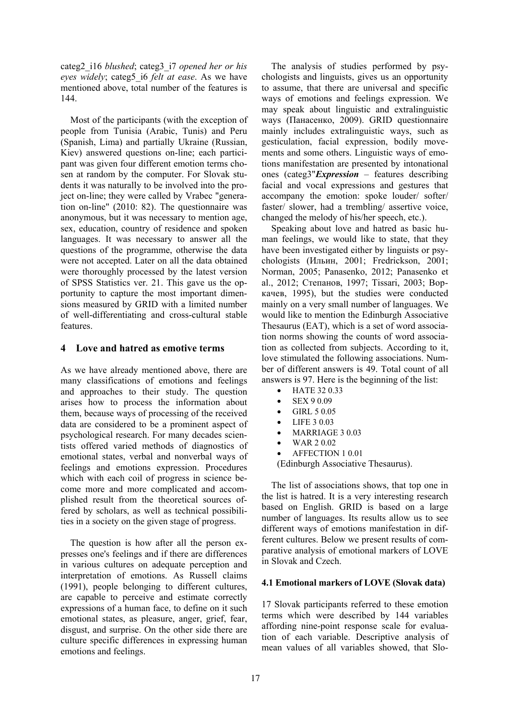categ2\_i16 *blushed*; categ3\_i7 *opened her or his eyes widely*; categ5\_i6 *felt at ease*. As we have mentioned above, total number of the features is 144.

Most of the participants (with the exception of people from Tunisia (Arabic, Tunis) and Peru (Spanish, Lima) and partially Ukraine (Russian, Kiev) answered questions on-line; each participant was given four different emotion terms chosen at random by the computer. For Slovak students it was naturally to be involved into the project on-line; they were called by Vrabec "generation on-line" (2010: 82). The questionnaire was anonymous, but it was necessary to mention age, sex, education, country of residence and spoken languages. It was necessary to answer all the questions of the programme, otherwise the data were not accepted. Later on all the data obtained were thoroughly processed by the latest version of SPSS Statistics ver. 21. This gave us the opportunity to capture the most important dimensions measured by GRID with a limited number of well-differentiating and cross-cultural stable features.

# **4 Love and hatred as emotive terms**

As we have already mentioned above, there are many classifications of emotions and feelings and approaches to their study. The question arises how to process the information about them, because ways of processing of the received data are considered to be a prominent aspect of psychological research. For many decades scientists offered varied methods of diagnostics of emotional states, verbal and nonverbal ways of feelings and emotions expression. Procedures which with each coil of progress in science become more and more complicated and accomplished result from the theoretical sources offered by scholars, as well as technical possibilities in a society on the given stage of progress.

The question is how after all the person expresses one's feelings and if there are differences in various cultures on adequate perception and interpretation of emotions. As Russell claims (1991), people belonging to different cultures, are capable to perceive and estimate correctly expressions of a human face, to define on it such emotional states, as pleasure, anger, grief, fear, disgust, and surprise. On the other side there are culture specific differences in expressing human emotions and feelings.

The analysis of studies performed by psychologists and linguists, gives us an opportunity to assume, that there are universal and specific ways of emotions and feelings expression. We may speak about linguistic and extralinguistic ways (Панасенко, 2009). GRID questionnaire mainly includes extralinguistic ways, such as gesticulation, facial expression, bodily movements and some others. Linguistic ways of emotions manifestation are presented by intonational ones (categ3"*Expression* – features describing facial and vocal expressions and gestures that accompany the emotion: spoke louder/ softer/ faster/ slower, had a trembling/ assertive voice, changed the melody of his/her speech, etc.).

Speaking about love and hatred as basic human feelings, we would like to state, that they have been investigated either by linguists or psychologists (Ильин, 2001; Fredrickson, 2001; Norman, 2005; Panasenko, 2012; Panasenko et al., 2012; Степанов, 1997; Tissari, 2003; Воркачев, 1995), but the studies were conducted mainly on a very small number of languages. We would like to mention the Edinburgh Associative Thesaurus (EAT), which is a set of word association norms showing the counts of word association as collected from subjects. According to it, love stimulated the following associations. Number of different answers is 49. Total count of all answers is 97. Here is the beginning of the list:

- $\bullet$  HATE 32 0.33
- SEX 9 0.09
- GIRL 5 0.05
- LIFE 3 0.03
- MARRIAGE 30.03
- WAR 2 0.02
- AFFECTION 1 0.01

(Edinburgh Associative Thesaurus).

The list of associations shows, that top one in the list is hatred. It is a very interesting research based on English. GRID is based on a large number of languages. Its results allow us to see different ways of emotions manifestation in different cultures. Below we present results of comparative analysis of emotional markers of LOVE in Slovak and Czech.

# **4.1 Emotional markers of LOVE (Slovak data)**

17 Slovak participants referred to these emotion terms which were described by 144 variables affording nine-point response scale for evaluation of each variable. Descriptive analysis of mean values of all variables showed, that Slo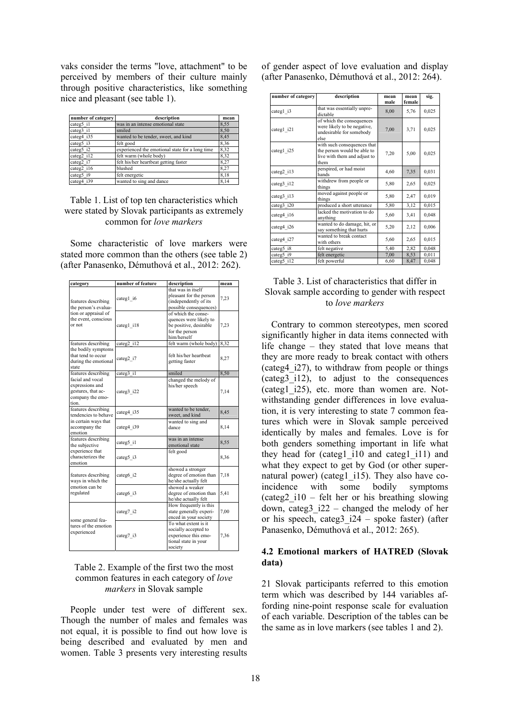vaks consider the terms "love, attachment" to be perceived by members of their culture mainly through positive characteristics, like something nice and pleasant (see table 1).

| number of category      | description                                     | mean |
|-------------------------|-------------------------------------------------|------|
| categ5 i1               | was in an intense emotional state               | 8,55 |
| categ3 i1               | smiled                                          | 8,50 |
| categ4 i35              | wanted to be tender, sweet, and kind            | 8,45 |
| categ5 i3               | felt good                                       | 8,36 |
| categ5 i2               | experienced the emotional state for a long time | 8,32 |
| categ2 $i\overline{12}$ | felt warm (whole body)                          | 8,32 |
| categ2 i7               | felt his/her heartbeat getting faster           | 8,27 |
| categ2 i16              | blushed                                         | 8.27 |
| categ5 i9               | felt energetic                                  | 8,18 |
| categ4 i39              | wanted to sing and dance                        | 8,14 |

# Table 1. List of top ten characteristics which were stated by Slovak participants as extremely common for *love markers*

Some characteristic of love markers were stated more common than the others (see table 2) (after Panasenko, Démuthová et al., 2012: 262).

| category                                                                               | number of feature | description                                                                                              | mean |
|----------------------------------------------------------------------------------------|-------------------|----------------------------------------------------------------------------------------------------------|------|
| features describing<br>the person's evalua-                                            | categ1 i6         | that was in itself<br>pleasant for the person<br>(independently of its<br>possible consequences)         | 7,23 |
| tion or appraisal of<br>the event, conscious<br>or not                                 | categ1 i18        | of which the conse-<br>quences were likely to<br>be positive, desirable<br>for the person<br>him/herself | 7,23 |
| features describing                                                                    | categ2 i12        | felt warm (whole body)                                                                                   | 8,32 |
| the bodily symptoms<br>that tend to occur<br>during the emotional<br>state             | categ2 i7         | felt his/her heartheat<br>getting faster                                                                 | 8,27 |
| features describing                                                                    | categ3 i1         | smiled                                                                                                   | 8,50 |
| facial and vocal<br>expressions and<br>gestures, that ac-<br>company the emo-<br>tion. | categ3 i22        | changed the melody of<br>his/her speech                                                                  | 7,14 |
| features describing<br>tendencies to behave                                            | categ4 i35        | wanted to be tender,<br>sweet, and kind                                                                  | 8,45 |
| in certain ways that<br>accompany the<br>emotion                                       | categ4 i39        | wanted to sing and<br>dance                                                                              | 8,14 |
| features describing<br>the subjective                                                  | categ5 i1         | was in an intense<br>emotional state                                                                     | 8,55 |
| experience that<br>characterizes the<br>emotion                                        | categ5 i3         | felt good                                                                                                | 8,36 |
| features describing<br>ways in which the                                               | categ6 i2         | showed a stronger<br>degree of emotion than<br>he/she actually felt                                      | 7,18 |
| emotion can be<br>regulated                                                            | categ6 i3         | showed a weaker<br>degree of emotion than<br>he/she actually felt                                        | 5,41 |
| some general fea-                                                                      | categ7_i2         | How frequently is this<br>state generally experi-<br>enced in your society                               | 7.00 |
| tures of the emotion<br>experienced                                                    | categ7 i3         | To what extent is it<br>socially accepted to<br>experience this emo-<br>tional state in your<br>society  | 7,36 |

# Table 2. Example of the first two the most common features in each category of *love markers* in Slovak sample

People under test were of different sex. Though the number of males and females was not equal, it is possible to find out how love is being described and evaluated by men and women. Table 3 presents very interesting results

of gender aspect of love evaluation and display (after Panasenko, Démuthová et al., 2012: 264).

| number of category | description                                                                                        | mean<br>male | mean<br>female | sig.  |
|--------------------|----------------------------------------------------------------------------------------------------|--------------|----------------|-------|
| categ1 i3          | that was essentially unpre-<br>dictable                                                            | 8,00         | 5,76           | 0,025 |
| categ1 i21         | of which the consequences<br>were likely to be negative,<br>undesirable for somebody<br>else       | 7,00         | 3,71           | 0,025 |
| categ1 i25         | with such consequences that<br>the person would be able to<br>live with them and adjust to<br>them | 7,20         | 5,00           | 0,025 |
| categ2 i13         | perspired, or had moist<br>hands                                                                   | 4,60         | 7,35           | 0,031 |
| categ3_i12         | withdrew from people or<br>things                                                                  | 5,80         | 2,65           | 0,025 |
| categ3 i13         | moved against people or<br>things                                                                  | 5,80         | 2,47           | 0,019 |
| categ3 i20         | produced a short utterance                                                                         | 5,80         | 3,12           | 0,015 |
| categ4 i16         | lacked the motivation to do<br>anything                                                            | 5,60         | 3,41           | 0.048 |
| categ4 i26         | wanted to do damage, hit, or<br>say something that hurts                                           | 5,20         | 2,12           | 0,006 |
| categ4 i27         | wanted to break contact<br>with others                                                             | 5,60         | 2,65           | 0,015 |
| categ5 i8          | felt negative                                                                                      | 5,40         | 2,82           | 0,048 |
| categ5 i9          | felt energetic                                                                                     | 7,00         | 8,53           | 0,011 |
| categ5_i12         | felt powerful                                                                                      | 6,60         | 8,47           | 0,048 |

#### Table 3. List of characteristics that differ in Slovak sample according to gender with respect to *love markers*

Contrary to common stereotypes, men scored significantly higher in data items connected with life change – they stated that love means that they are more ready to break contact with others (categ4\_i27), to withdraw from people or things (categ3\_i12), to adjust to the consequences (categ1\_i25), etc. more than women are. Notwithstanding gender differences in love evaluation, it is very interesting to state 7 common features which were in Slovak sample perceived identically by males and females. Love is for both genders something important in life what they head for (categ1 i10 and categ1 i11) and what they expect to get by God (or other supernatural power) (categ1 i15). They also have coincidence with some bodily symptoms  $(categ2 i10 - felt her or his breathing slowing)$ down, categ3\_i22 – changed the melody of her or his speech, categ3  $i24$  – spoke faster) (after Panasenko, Démuthová et al., 2012: 265).

# **4.2 Emotional markers of HATRED (Slovak data)**

21 Slovak participants referred to this emotion term which was described by 144 variables affording nine-point response scale for evaluation of each variable. Description of the tables can be the same as in love markers (see tables 1 and 2).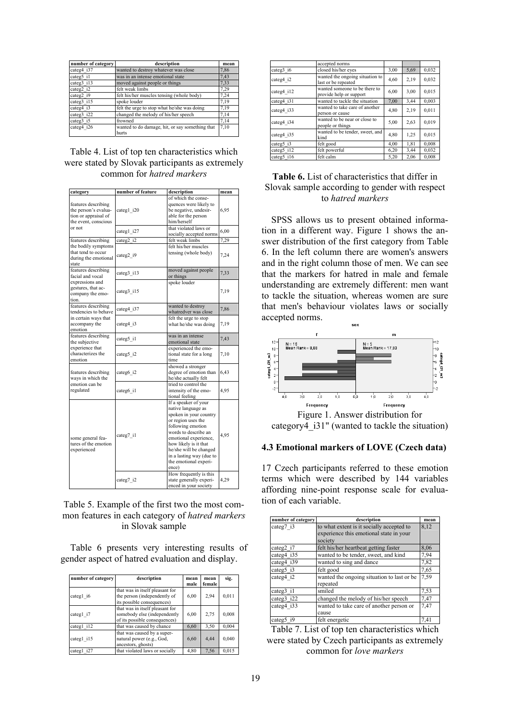| number of category | description                                     | mean |
|--------------------|-------------------------------------------------|------|
| categ4 i37         | wanted to destroy whatever was close            | 7,86 |
| categ5 i1          | was in an intense emotional state               | 7,43 |
| categ3 i13         | moved against people or things                  | 7,33 |
| categ2 i2          | felt weak limbs                                 | 7,29 |
| categ2 i9          | felt his/her muscles tensing (whole body)       | 7.24 |
| categ3 i15         | spoke louder                                    | 7.19 |
| categ4 i3          | felt the urge to stop what he/she was doing     | 7,19 |
| categ3 i22         | changed the melody of his/her speech            | 7,14 |
| categ3 i5          | frowned                                         | 7,14 |
| categ4 i26         | wanted to do damage, hit, or say something that | 7,10 |
|                    | hurts                                           |      |

#### Table 4. List of top ten characteristics which were stated by Slovak participants as extremely common for *hatred markers*

| category                                                                                    | number of feature | description                                                                                                                                                                                                                                                                       | mean |
|---------------------------------------------------------------------------------------------|-------------------|-----------------------------------------------------------------------------------------------------------------------------------------------------------------------------------------------------------------------------------------------------------------------------------|------|
| features describing<br>the person's evalua-<br>tion or appraisal of<br>the event. conscious | categ1_i20        | of which the conse-<br>quences were likely to<br>be negative, undesir-<br>able for the person<br>him/herself                                                                                                                                                                      | 6,95 |
| or not                                                                                      | categ1 i27        | that violated laws or<br>socially accepted norms                                                                                                                                                                                                                                  | 6,00 |
| features describing                                                                         | categ2 i2         | felt weak limbs                                                                                                                                                                                                                                                                   | 7,29 |
| the bodily symptoms<br>that tend to occur<br>during the emotional<br>state                  | categ2_i9         | felt his/her muscles<br>tensing (whole body)                                                                                                                                                                                                                                      | 7,24 |
| features describing<br>facial and vocal                                                     | categ3_i13        | moved against people<br>or things                                                                                                                                                                                                                                                 | 7,33 |
| expressions and<br>gestures, that ac-<br>company the emo-<br>tion.                          | categ3_i15        | spoke louder                                                                                                                                                                                                                                                                      | 7,19 |
| features describing<br>tendencies to behave                                                 | categ4 i37        | wanted to destroy<br>whatredver was close                                                                                                                                                                                                                                         | 7,86 |
| in certain ways that<br>accompany the<br>emotion                                            | categ4 i3         | felt the urge to stop<br>what he/she was doing                                                                                                                                                                                                                                    | 7,19 |
| features describing<br>the subjective                                                       | categ5_i1         | was in an intense<br>emotional state                                                                                                                                                                                                                                              | 7,43 |
| experience that<br>characterizes the<br>emotion                                             | categ5 i2         | experienced the emo-<br>tional state for a long<br>time                                                                                                                                                                                                                           | 7,10 |
| features describing<br>ways in which the                                                    | categ6_i2         | showed a stronger<br>degree of emotion than<br>he/she actually felt                                                                                                                                                                                                               | 6,43 |
| emotion can be<br>regulated                                                                 | categ6 il         | tried to control the<br>intensity of the emo-<br>tional feeling                                                                                                                                                                                                                   | 4,95 |
| some general fea-<br>tures of the emotion<br>experienced                                    | categ7 i1         | If a speaker of your<br>native language as<br>spoken in your country<br>or region uses the<br>following emotion<br>words to describe an<br>emotional experience,<br>how likely is it that<br>he/she will be changed<br>in a lasting way (due to<br>the emotional experi-<br>ence) | 4,95 |
|                                                                                             | categ7_i2         | How frequently is this<br>state generally experi-<br>enced in your society                                                                                                                                                                                                        | 4.29 |

Table 5. Example of the first two the most common features in each category of *hatred markers* in Slovak sample

Table 6 presents very interesting results of gender aspect of hatred evaluation and display.

| number of category | description                                                                                      | mean<br>male | mean<br>female | sig.  |
|--------------------|--------------------------------------------------------------------------------------------------|--------------|----------------|-------|
| categ1 i6          | that was in itself pleasant for<br>the person (independently of<br>its possible consequences)    | 6,00         | 2,94           | 0,011 |
| categ1 i7          | that was in itself pleasant for<br>somebody else (independently<br>of its possible consequences) | 6,00         | 2,75           | 0,008 |
| categ1 i12         | that was caused by chance                                                                        | 6,60         | 3,50           | 0,004 |
| categ1 i15         | that was caused by a super-<br>natural power (e.g., God,<br>ancestors, ghosts)                   | 6,60         | 4,44           | 0,040 |
| categ1<br>i27      | that violated laws or socially                                                                   | 4,80         | 7,56           | 0,015 |

|            | accepted norms                                           |      |      |       |
|------------|----------------------------------------------------------|------|------|-------|
| categ3 i6  | closed his/her eyes                                      | 3,00 | 5,69 | 0,032 |
| categ4 i2  | wanted the ongoing situation to<br>last or be repeated   | 4,60 | 2,19 | 0,032 |
| categ4 i12 | wanted someone to be there to<br>provide help or support | 6,00 | 3,00 | 0,015 |
| categ4 i31 | wanted to tackle the situation                           | 7,00 | 3,44 | 0,003 |
| categ4 i33 | wanted to take care of another<br>person or cause        | 4,80 | 2,19 | 0,011 |
| categ4 i34 | wanted to be near or close to<br>people or things        | 5,00 | 2,63 | 0,019 |
| categ4 i35 | wanted to be tender, sweet, and<br>kind                  | 4,80 | 1,25 | 0,015 |
| categ5 i3  | felt good                                                | 4,00 | 1,81 | 0,008 |
| categ5 i12 | felt powerful                                            | 6,20 | 3,44 | 0,032 |
| categ5 i16 | felt calm                                                | 5,20 | 2,06 | 0,008 |

# **Table 6.** List of characteristics that differ in Slovak sample according to gender with respect to *hatred markers*

SPSS allows us to present obtained information in a different way. Figure 1 shows the answer distribution of the first category from Table 6. In the left column there are women's answers and in the right column those of men. We can see that the markers for hatred in male and female understanding are extremely different: men want to tackle the situation, whereas women are sure that men's behaviour violates laws or socially accepted norms.  $\sim$ 



### **4.3 Emotional markers of LOVE (Czech data)**

17 Czech participants referred to these emotion terms which were described by 144 variables affording nine-point response scale for evaluation of each variable.

| description                               |                                                                                                                                               |
|-------------------------------------------|-----------------------------------------------------------------------------------------------------------------------------------------------|
| to what extent is it socially accepted to | 8,12                                                                                                                                          |
| experience this emotional state in your   |                                                                                                                                               |
|                                           | 8,06                                                                                                                                          |
|                                           |                                                                                                                                               |
|                                           | 7,94                                                                                                                                          |
| wanted to sing and dance                  | 7,82                                                                                                                                          |
| felt good                                 | 7,65                                                                                                                                          |
| 7,59                                      |                                                                                                                                               |
| repeated                                  |                                                                                                                                               |
| smiled                                    | 7,53                                                                                                                                          |
| changed the melody of his/her speech      | 7,47                                                                                                                                          |
| wanted to take care of another person or  | 7,47                                                                                                                                          |
| cause                                     |                                                                                                                                               |
| felt energetic                            | 7,41                                                                                                                                          |
|                                           | society<br>felt his/her heartbeat getting faster<br>wanted to be tender, sweet, and kind<br>wanted the ongoing situation to last or be<br>. . |

Table 7. List of top ten characteristics which were stated by Czech participants as extremely common for *love markers*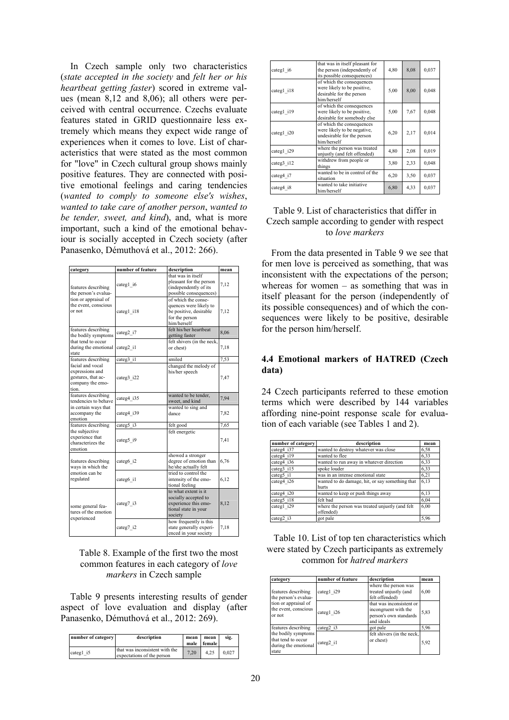In Czech sample only two characteristics (*state accepted in the society* and *felt her or his heartbeat getting faster*) scored in extreme values (mean 8,12 and 8,06); all others were perceived with central occurrence. Czechs evaluate features stated in GRID questionnaire less extremely which means they expect wide range of experiences when it comes to love. List of characteristics that were stated as the most common for "love" in Czech cultural group shows mainly positive features. They are connected with positive emotional feelings and caring tendencies (*wanted to comply to someone else's wishes*, *wanted to take care of another person*, *wanted to be tender, sweet, and kind*), and, what is more important, such a kind of the emotional behaviour is socially accepted in Czech society (after Panasenko, Démuthová et al., 2012: 266).

| category                                                                               | number of feature | description                                                                                              | mean |
|----------------------------------------------------------------------------------------|-------------------|----------------------------------------------------------------------------------------------------------|------|
| features describing<br>the person's evalua-                                            | categ1 i6         | that was in itself<br>pleasant for the person<br>(independently of its<br>possible consequences)         | 7,12 |
| tion or appraisal of<br>the event, conscious<br>or not                                 | categ1 i18        | of which the conse-<br>quences were likely to<br>be positive, desirable<br>for the person<br>him/herself | 7,12 |
| features describing<br>the bodily symptoms                                             | categ2 i7         | felt his/her heartbeat<br>getting faster                                                                 | 8,06 |
| that tend to occur<br>during the emotional<br>state                                    | categ2 i1         | felt shivers (in the neck,<br>or chest)                                                                  | 7,18 |
| features describing                                                                    | categ3 i1         | smiled                                                                                                   | 7,53 |
| facial and vocal<br>expressions and<br>gestures, that ac-<br>company the emo-<br>tion. | categ3 i22        | changed the melody of<br>his/her speech                                                                  | 7,47 |
| features describing<br>tendencies to behave                                            | categ4 i35        | wanted to be tender,<br>sweet, and kind                                                                  | 7,94 |
| in certain ways that<br>accompany the<br>emotion                                       | categ4 i39        | wanted to sing and<br>dance                                                                              | 7,82 |
| features describing                                                                    | categ5 i3         | felt good                                                                                                | 7,65 |
| the subjective<br>experience that<br>characterizes the<br>emotion                      | categ5 i9         | felt energetic                                                                                           | 7,41 |
| features describing<br>ways in which the                                               | categ6 i2         | showed a stronger<br>degree of emotion than<br>he/she actually felt                                      | 6,76 |
| emotion can be<br>regulated                                                            | categ6 i1         | tried to control the<br>intensity of the emo-<br>tional feeling                                          | 6.12 |
| some general fea-<br>tures of the emotion<br>experienced                               | categ7 i3         | to what extent is it<br>socially accepted to<br>experience this emo-<br>tional state in your<br>society  | 8.12 |
|                                                                                        | categ7 i2         | how frequently is this<br>state generally experi-<br>enced in your society                               | 7,18 |

Table 8. Example of the first two the most common features in each category of *love markers* in Czech sample

Table 9 presents interesting results of gender aspect of love evaluation and display (after Panasenko, Démuthová et al., 2012: 269).

| number of category | description                                                  | mean<br>male | mean<br>female 1 | sig.  |
|--------------------|--------------------------------------------------------------|--------------|------------------|-------|
| categ1 i5          | that was inconsistent with the<br>expectations of the person | 7.20         | 4.25             | 0.027 |

| categ1 i6  | that was in itself pleasant for<br>the person (independently of<br>its possible consequences)         | 4,80 | 8,08 | 0,037 |
|------------|-------------------------------------------------------------------------------------------------------|------|------|-------|
| categ1 i18 | of which the consequences<br>were likely to be positive,<br>desirable for the person<br>him/herself   | 5,00 | 8,00 | 0,048 |
| categ1 i19 | of which the consequences<br>were likely to be positive.<br>desirable for somebody else               | 5,00 | 7,67 | 0,048 |
| categ1 i20 | of which the consequences<br>were likely to be negative,<br>undesirable for the person<br>him/herself | 6,20 | 2,17 | 0,014 |
| categ1 i29 | where the person was treated<br>unjustly (and felt offended)                                          | 4,80 | 2,08 | 0,019 |
| categ3 i12 | withdrew from people or<br>things                                                                     | 3,80 | 2,33 | 0,048 |
| categ4 i7  | wanted to be in control of the<br>situation                                                           | 6,20 | 3,50 | 0,037 |
| categ4 i8  | wanted to take initiative<br>him/herself                                                              | 6,80 | 4,33 | 0,037 |

# Table 9. List of characteristics that differ in Czech sample according to gender with respect to *love markers*

From the data presented in Table 9 we see that for men love is perceived as something, that was inconsistent with the expectations of the person; whereas for women – as something that was in itself pleasant for the person (independently of its possible consequences) and of which the consequences were likely to be positive, desirable for the person him/herself.

## **4.4 Emotional markers of HATRED (Czech data)**

24 Czech participants referred to these emotion terms which were described by 144 variables affording nine-point response scale for evaluation of each variable (see Tables 1 and 2).

| number of category    | description                                                  | mean |
|-----------------------|--------------------------------------------------------------|------|
| categ4 i37            | wanted to destroy whatever was close                         | 6,58 |
| categ4 i19            | wanted to flee                                               | 6,33 |
| categ4 i36            | wanted to run away in whatever direction                     | 6,33 |
| categ3 i15            | spoke louder                                                 | 6,33 |
| categ5 il             | was in an intense emotional state                            | 6,21 |
| categ4 i26            | wanted to do damage, hit, or say something that<br>hurts     | 6,13 |
| categ4 i20            | wanted to keep or push things away                           | 6,13 |
| categ5 i18            | felt bad                                                     | 6,04 |
| categ1 i29            | where the person was treated unjustly (and felt<br>offended) | 6,00 |
| categ <sub>2</sub> i3 | got pale                                                     | 5,96 |

Table 10. List of top ten characteristics which were stated by Czech participants as extremely common for *hatred markers* 

| category                                                                                              | number of feature | description                                                                              | mean |
|-------------------------------------------------------------------------------------------------------|-------------------|------------------------------------------------------------------------------------------|------|
| features describing<br>the person's evalua-<br>tion or appraisal of<br>the event, conscious<br>or not | categl i29        | where the person was<br>treated unjustly (and<br>felt offended)                          | 6,00 |
|                                                                                                       | categ1 i26        | that was inconsistent or<br>incongruent with the<br>person's own standards<br>and ideals | 5,83 |
| features describing                                                                                   | categ2 i3         | got pale                                                                                 | 5,96 |
| the bodily symptoms<br>that tend to occur<br>during the emotional<br>state                            | categ2 i1         | felt shivers (in the neck,<br>or chest)                                                  | 5,92 |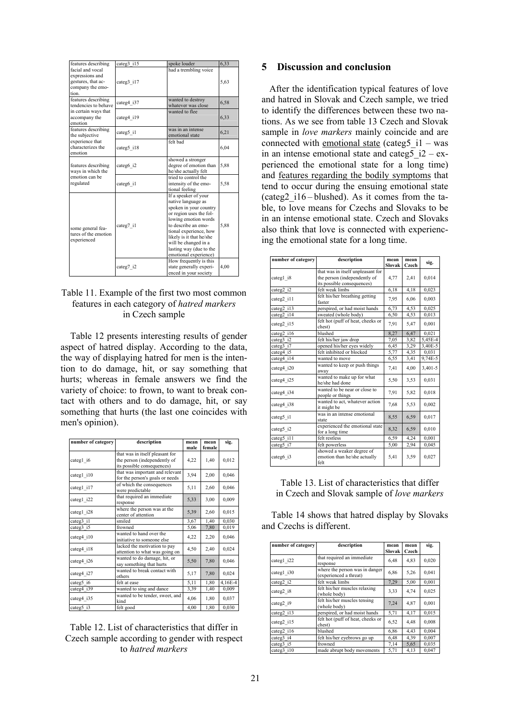| features describing                                      | categ3 i15 | spoke louder                                | 6,33                                                 |
|----------------------------------------------------------|------------|---------------------------------------------|------------------------------------------------------|
| facial and vocal<br>expressions and                      |            | had a trembling voice                       |                                                      |
| gestures, that ac-                                       | categ3 i17 |                                             |                                                      |
| company the emo-                                         |            |                                             |                                                      |
| tion                                                     |            |                                             |                                                      |
| features describing                                      |            | wanted to destroy                           |                                                      |
| tendencies to behave                                     | categ4 i37 | whatever was close                          |                                                      |
| in certain ways that                                     |            | wanted to flee                              |                                                      |
| accompany the                                            | categ4 i19 |                                             |                                                      |
| emotion                                                  |            |                                             |                                                      |
| features describing<br>the subjective                    | categ5 i1  | was in an intense<br>emotional state        | 6,21                                                 |
| experience that                                          |            | felt bad                                    |                                                      |
| characterizes the                                        | categ5 i18 |                                             |                                                      |
| emotion                                                  |            |                                             |                                                      |
| features describing                                      | categ6 i2  | showed a stronger<br>degree of emotion than |                                                      |
| ways in which the                                        |            | he/she actually felt                        | 5,63<br>6,58<br>6,33<br>6.04<br>5,88<br>5,58<br>5,88 |
| emotion can be                                           |            | tried to control the                        |                                                      |
| regulated                                                | categ6 i1  | intensity of the emo-                       |                                                      |
|                                                          |            | tional feeling                              |                                                      |
|                                                          |            | If a speaker of your                        |                                                      |
|                                                          |            | native language as                          |                                                      |
|                                                          |            | spoken in your country                      |                                                      |
| some general fea-<br>tures of the emotion<br>experienced |            | or region uses the fol-                     |                                                      |
|                                                          |            | lowing emotion words<br>to describe an emo- |                                                      |
|                                                          | categ7 i1  | tional experience, how                      |                                                      |
|                                                          |            | likely is it that he/she                    |                                                      |
|                                                          |            | will be changed in a                        |                                                      |
|                                                          |            | lasting way (due to the                     |                                                      |
|                                                          |            | emotional experience)                       |                                                      |
|                                                          |            | How frequently is this                      | 4.00                                                 |
|                                                          | categ7 i2  | state generally experi-                     |                                                      |
|                                                          |            | enced in your society                       |                                                      |

# Table 11. Example of the first two most common features in each category of *hatred markers* in Czech sample

Table 12 presents interesting results of gender aspect of hatred display. According to the data, the way of displaying hatred for men is the intention to do damage, hit, or say something that hurts; whereas in female answers we find the variety of choice: to frown, to want to break contact with others and to do damage, hit, or say something that hurts (the last one coincides with men's opinion).

| number of category      | description                                                                                   | mean<br>male | mean<br>female | sig.    |
|-------------------------|-----------------------------------------------------------------------------------------------|--------------|----------------|---------|
| categ1 i6               | that was in itself pleasant for<br>the person (independently of<br>its possible consequences) | 4,22         | 1,40           | 0,012   |
| categ1_i10              | that was important and relevant<br>for the person's goals or needs                            | 3,94         | 2,00           | 0,046   |
| categ1_i17              | of which the consequences<br>were predictable                                                 | 5,11         | 2,60           | 0,046   |
| categ1_i22              | that required an immediate<br>response                                                        | 5,33         | 3,00           | 0,009   |
| $categ1$ <sub>128</sub> | where the person was at the<br>center of attention                                            | 5,39         | 2,60           | 0,015   |
| categ3_i1               | smiled                                                                                        | 3,67         | 1,40           | 0,030   |
| categ3_i5               | frowned                                                                                       | 5,06         | 7,80           | 0,019   |
| categ4 i10              | wanted to hand over the<br>initiative to someone else                                         | 4,22         | 2,20           | 0,046   |
| categ4_i18              | lacked the motivation to pay<br>attention to what was going on                                | 4,50         | 2,40           | 0,024   |
| categ4_i26              | wanted to do damage, hit, or<br>say something that hurts                                      | 5,50         | 7,80           | 0,046   |
| categ4 i27              | wanted to break contact with<br>others                                                        | 5,17         | 7,80           | 0,024   |
| categ5_i6               | felt at ease                                                                                  | 5,11         | 1,80           | 4,16E-4 |
| categ4 i39              | wanted to sing and dance                                                                      | 3,39         | 1,40           | 0,009   |
| categ4 i35              | wanted to be tender, sweet, and<br>kind                                                       | 4,06         | 1,80           | 0,037   |
| categ5 i3               | felt good                                                                                     | 4,00         | 1,80           | 0,030   |

# Table 12. List of characteristics that differ in Czech sample according to gender with respect to *hatred markers*

#### **5 Discussion and conclusion**

After the identification typical features of love and hatred in Slovak and Czech sample, we tried to identify the differences between these two nations. As we see from table 13 Czech and Slovak sample in *love markers* mainly coincide and are connected with <u>emotional state</u> (categ5  $i1$  – was in an intense emotional state and categ5  $i2 - ex$ perienced the emotional state for a long time) and features regarding the bodily symptoms that tend to occur during the ensuing emotional state (categ2\_i16 – blushed). As it comes from the table, to love means for Czechs and Slovaks to be in an intense emotional state. Czech and Slovaks also think that love is connected with experiencing the emotional state for a long time.

| number of category      | description                                                                                     | mean<br>Slovak | mean<br>Czech | sig.    |
|-------------------------|-------------------------------------------------------------------------------------------------|----------------|---------------|---------|
| categ1 i8               | that was in itself unpleasant for<br>the person (independently of<br>its possible consequences) | 4,77           | 2,41          | 0,014   |
| categ2_i2               | felt weak limbs                                                                                 | 6,18           | 4,18          | 0,023   |
| categ2 i11              | felt his/her breathing getting<br>faster                                                        | 7.95           | 6,06          | 0,003   |
| categ2 i13              | perspired, or had moist hands                                                                   | 6,73           | 4,53          | 0,025   |
| categ2_i14              | sweated (whole body)                                                                            | 6,50           | 4,53          | 0,013   |
| categ2 i15              | felt hot (puff of heat, cheeks or<br>chest)                                                     | 7.91           | 5,47          | 0,001   |
| categ2 i16              | blushed                                                                                         | 8,27           | 6,47          | 0,021   |
| categ3_ $i\overline{2}$ | felt his/her jaw drop                                                                           | 7,05           | 3,82          | 5,45E-4 |
| categ3 i7               | opened his/her eyes widely                                                                      | 6,45           | 3,29          | 3,40E-5 |
| categ4 i5               | felt inhibited or blocked                                                                       | 5,77           | 4,35          | 0,031   |
| categ4 i14              | wanted to move                                                                                  | 6,55           | 3,41          | 9,74E-5 |
| categ4 i20              | wanted to keep or push things<br>away                                                           | 7,41           | 4,00          | 3,401-5 |
| categ4 i25              | wanted to make up for what<br>he/she had done                                                   | 5,50           | 3,53          | 0,031   |
| categ4 i34              | wanted to be near or close to<br>people or things                                               | 7,91           | 5,82          | 0,018   |
| categ4 i38              | wanted to act, whatever action<br>it might be                                                   | 7,68           | 5,53          | 0,002   |
| categ5 i1               | was in an intense emotional<br>state                                                            | 8,55           | 6,59          | 0,017   |
| categ5 i2               | experienced the emotional state<br>for a long time                                              | 8,32           | 6,59          | 0,010   |
| categ5 i11              | felt restless                                                                                   | 6,59           | 4,24          | 0,001   |
| categ5_i7               | felt powerless                                                                                  | 5,00           | 2,94          | 0,045   |
| categ6 i3               | showed a weaker degree of<br>emotion than he/she actually<br>felt                               | 5,41           | 3,59          | 0,027   |

#### Table 13. List of characteristics that differ in Czech and Slovak sample of *love markers*

Table 14 shows that hatred display by Slovaks and Czechs is different.

| number of category | description                                              | mean<br>Slovak | mean<br>Czech | sig.  |
|--------------------|----------------------------------------------------------|----------------|---------------|-------|
| categ1 i22         | that required an immediate<br>response                   | 6,48           | 4,83          | 0,020 |
| categ1 i30         | where the person was in danger<br>(experienced a threat) | 6,86           | 5,26          | 0,041 |
| categ2 i2          | felt weak limbs                                          | 7,29           | 5,00          | 0,001 |
| categ2 i8          | felt his/her muscles relaxing<br>(whole body)            | 3.33           | 4,74          | 0,025 |
| categ2 i9          | felt his/her muscles tensing<br>(whole body)             | 7,24           | 4,87          | 0,001 |
| categ2 i13         | perspired, or had moist hands                            | 5,71           | 4,17          | 0,015 |
| categ2 i15         | felt hot (puff of heat, cheeks or<br>chest)              | 6,52           | 4,48          | 0,008 |
| categ2 i16         | blushed                                                  | 6,86           | 4,43          | 0,004 |
| categ3 i4          | felt his/her eyebrows go up                              | 6,48           | 4,39          | 0,007 |
| categ3 i5          | frowned                                                  | 7,14           | 5,65          | 0,035 |
| categ3 i10         | made abrupt body movements                               | 5,71           | 4,13          | 0,047 |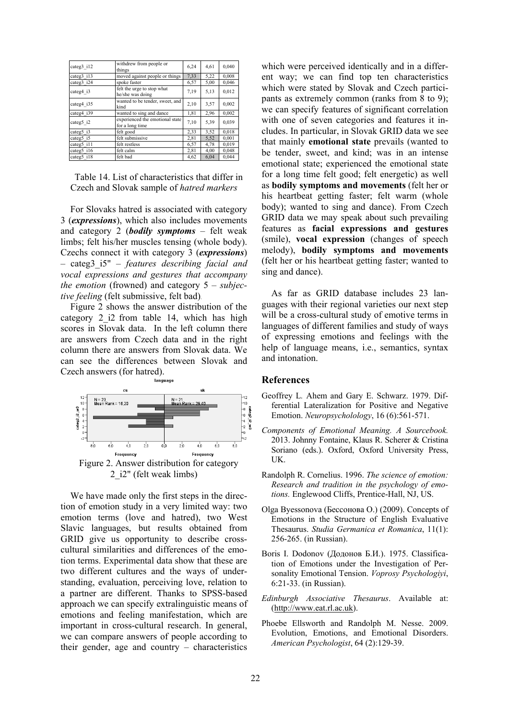| categ3 i12 | withdrew from people or<br>things                  | 6,24 | 4,61 | 0,040 |
|------------|----------------------------------------------------|------|------|-------|
| categ3 i13 | moved against people or things                     | 7,33 | 5,22 | 0,008 |
| categ3 i24 | spoke faster                                       | 6,57 | 5,00 | 0,046 |
| categ4 i3  | felt the urge to stop what<br>he/she was doing     | 7,19 | 5,13 | 0,012 |
| categ4 i35 | wanted to be tender, sweet, and<br>kind            | 2,10 | 3,57 | 0,002 |
| categ4 i39 | wanted to sing and dance                           | 1,81 | 2,96 | 0,002 |
| categ5 i2  | experienced the emotional state<br>for a long time | 7,10 | 5,39 | 0,039 |
| categ5 i3  | felt good                                          | 2,33 | 3,52 | 0,018 |
| categ5 i5  | felt submissive                                    | 2,81 | 5,52 | 0,001 |
| categ5 i11 | felt restless                                      | 6,57 | 4,78 | 0,019 |
| categ5 i16 | felt calm                                          | 2,81 | 4,00 | 0,048 |
| categ5 i18 | felt bad                                           | 4,62 | 6,04 | 0,044 |

Table 14. List of characteristics that differ in Czech and Slovak sample of *hatred markers*

For Slovaks hatred is associated with category 3 (*expressions*), which also includes movements and category 2 (*bodily symptoms* – felt weak limbs; felt his/her muscles tensing (whole body). Czechs connect it with category 3 (*expressions*) – categ3\_i5" – *features describing facial and vocal expressions and gestures that accompany the emotion* (frowned) and category 5 – *subjective feeling* (felt submissive, felt bad).

Figure 2 shows the answer distribution of the category 2\_i2 from table 14, which has high scores in Slovak data. In the left column there are answers from Czech data and in the right column there are answers from Slovak data. We can see the differences between Slovak and Czech answers (for hatred).



We have made only the first steps in the direction of emotion study in a very limited way: two emotion terms (love and hatred), two West Slavic languages, but results obtained from GRID give us opportunity to describe crosscultural similarities and differences of the emotion terms. Experimental data show that these are two different cultures and the ways of understanding, evaluation, perceiving love, relation to a partner are different. Thanks to SPSS-based approach we can specify extralinguistic means of emotions and feeling manifestation, which are important in cross-cultural research. In general, we can compare answers of people according to their gender, age and country – characteristics

which were perceived identically and in a different way; we can find top ten characteristics which were stated by Slovak and Czech participants as extremely common (ranks from 8 to 9); we can specify features of significant correlation with one of seven categories and features it includes. In particular, in Slovak GRID data we see that mainly **emotional state** prevails (wanted to be tender, sweet, and kind; was in an intense emotional state; experienced the emotional state for a long time felt good; felt energetic) as well as **bodily symptoms and movements** (felt her or his heartbeat getting faster; felt warm (whole body); wanted to sing and dance). From Czech GRID data we may speak about such prevailing features as **facial expressions and gestures** (smile), **vocal expression** (changes of speech melody), **bodily symptoms and movements** (felt her or his heartbeat getting faster; wanted to sing and dance).

As far as GRID database includes 23 languages with their regional varieties our next step will be a cross-cultural study of emotive terms in languages of different families and study of ways of expressing emotions and feelings with the help of language means, i.e., semantics, syntax and intonation.

# **References**

- Geoffrey L*.* Ahem and Gary E. Schwarz. 1979. Differential Lateralization for Positive and Negative Emotion. *Neuropsycholology*, 16 (6):561-571.
- *Components of Emotional Meaning. A Sourcebook.* 2013. Johnny Fontaine, Klaus R. Scherer & Cristina Soriano (eds.). Oxford, Oxford University Press, UK.
- Randolph R. Cornelius. 1996. *The science of emotion: Research and tradition in the psychology of emotions.* Englewood Cliffs, Prentice-Hall, NJ, US.
- Olga Byessonova (Бессонова О.) (2009). Сoncepts of Emotions in the Structure of English Evaluative Thesaurus. *Studia Germanica et Romanica*, 11(1): 256-265. (in Russian).
- Boris I. Dodonov (Додонов Б.И.). 1975. Classification of Emotions under the Investigation of Personality Emotional Tension. *Voprosy Psychologiyi*, 6:21-33. (in Russian).
- *Edinburgh Associative Thesaurus*. Available at: (http://www.eat.rl.ac.uk).
- Phoebe Ellsworth and Randolph M. Nesse. 2009. Evolution, Emotions, and Emotional Disorders. *American Psychologist*, 64 (2):129-39.